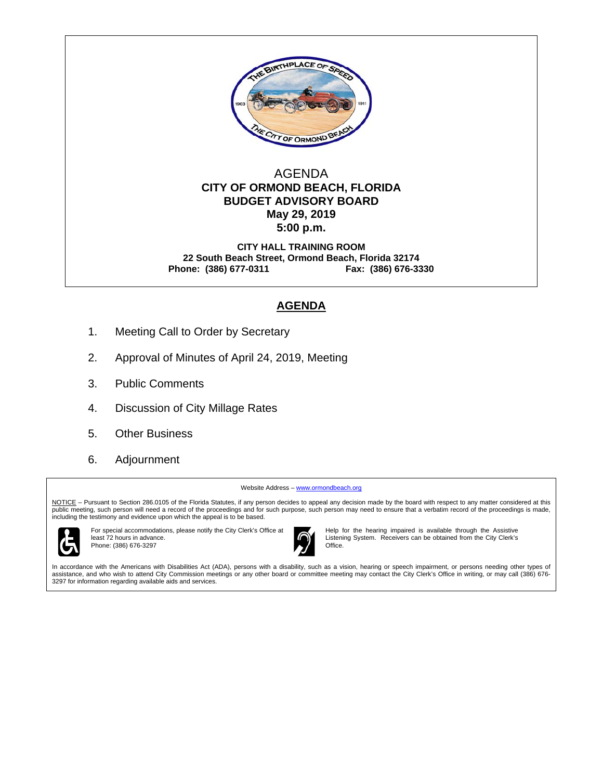

#### AGENDA  **CITY OF ORMOND BEACH, FLORIDA BUDGET ADVISORY BOARD May 29, 2019 5:00 p.m.**

**CITY HALL TRAINING ROOM 22 South Beach Street, Ormond Beach, Florida 32174 Phone: (386) 677-0311 Fax: (386) 676-3330** 

### **AGENDA**

- 1. Meeting Call to Order by Secretary
- 2. Approval of Minutes of April 24, 2019, Meeting
- 3. Public Comments
- 4. Discussion of City Millage Rates
- 5. Other Business
- 6. Adjournment

Website Address - www.ormondbeach.org

NOTICE - Pursuant to Section 286.0105 of the Florida Statutes, if any person decides to appeal any decision made by the board with respect to any matter considered at this public meeting, such person will need a record of the proceedings and for such purpose, such person may need to ensure that a verbatim record of the proceedings is made, including the testimony and evidence upon which the appeal is to be based.



For special accommodations, please notify the City Clerk's Office at least 72 hours in advance. Phone: (386) 676-3297



Help for the hearing impaired is available through the Assistive Listening System. Receivers can be obtained from the City Clerk's Office.

In accordance with the Americans with Disabilities Act (ADA), persons with a disability, such as a vision, hearing or speech impairment, or persons needing other types of assistance, and who wish to attend City Commission meetings or any other board or committee meeting may contact the City Clerk's Office in writing, or may call (386) 676- 3297 for information regarding available aids and services.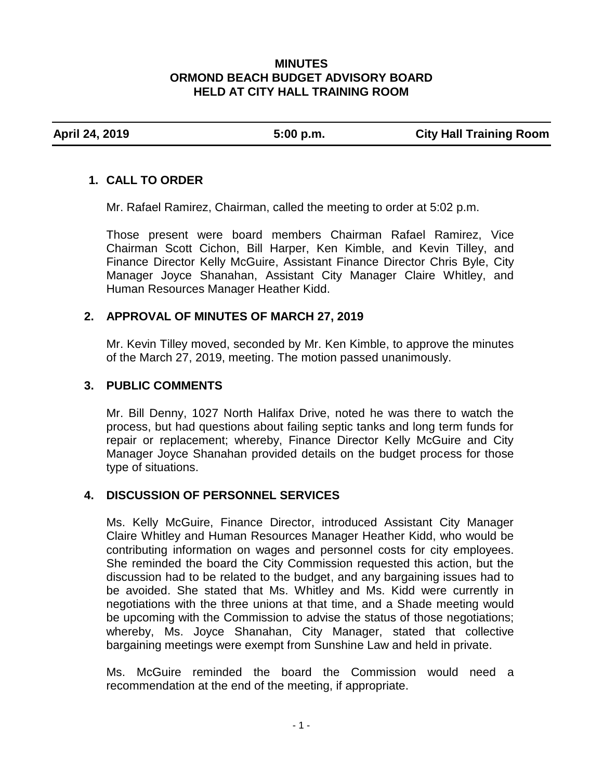#### **MINUTES ORMOND BEACH BUDGET ADVISORY BOARD HELD AT CITY HALL TRAINING ROOM**

**April 24, 2019 5:00 p.m. City Hall Training Room**

# **1. CALL TO ORDER**

Mr. Rafael Ramirez, Chairman, called the meeting to order at 5:02 p.m.

Those present were board members Chairman Rafael Ramirez, Vice Chairman Scott Cichon, Bill Harper, Ken Kimble, and Kevin Tilley, and Finance Director Kelly McGuire, Assistant Finance Director Chris Byle, City Manager Joyce Shanahan, Assistant City Manager Claire Whitley, and Human Resources Manager Heather Kidd.

# **2. APPROVAL OF MINUTES OF MARCH 27, 2019**

Mr. Kevin Tilley moved, seconded by Mr. Ken Kimble, to approve the minutes of the March 27, 2019, meeting. The motion passed unanimously.

# **3. PUBLIC COMMENTS**

Mr. Bill Denny, 1027 North Halifax Drive, noted he was there to watch the process, but had questions about failing septic tanks and long term funds for repair or replacement; whereby, Finance Director Kelly McGuire and City Manager Joyce Shanahan provided details on the budget process for those type of situations.

### **4. DISCUSSION OF PERSONNEL SERVICES**

Ms. Kelly McGuire, Finance Director, introduced Assistant City Manager Claire Whitley and Human Resources Manager Heather Kidd, who would be contributing information on wages and personnel costs for city employees. She reminded the board the City Commission requested this action, but the discussion had to be related to the budget, and any bargaining issues had to be avoided. She stated that Ms. Whitley and Ms. Kidd were currently in negotiations with the three unions at that time, and a Shade meeting would be upcoming with the Commission to advise the status of those negotiations; whereby, Ms. Joyce Shanahan, City Manager, stated that collective bargaining meetings were exempt from Sunshine Law and held in private.

Ms. McGuire reminded the board the Commission would need a recommendation at the end of the meeting, if appropriate.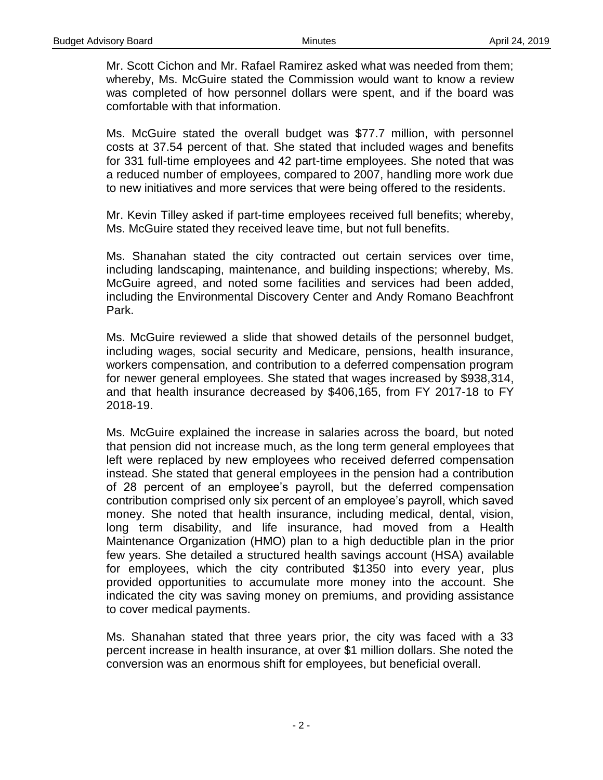Mr. Scott Cichon and Mr. Rafael Ramirez asked what was needed from them; whereby, Ms. McGuire stated the Commission would want to know a review was completed of how personnel dollars were spent, and if the board was comfortable with that information.

Ms. McGuire stated the overall budget was \$77.7 million, with personnel costs at 37.54 percent of that. She stated that included wages and benefits for 331 full-time employees and 42 part-time employees. She noted that was a reduced number of employees, compared to 2007, handling more work due to new initiatives and more services that were being offered to the residents.

Mr. Kevin Tilley asked if part-time employees received full benefits; whereby, Ms. McGuire stated they received leave time, but not full benefits.

Ms. Shanahan stated the city contracted out certain services over time, including landscaping, maintenance, and building inspections; whereby, Ms. McGuire agreed, and noted some facilities and services had been added, including the Environmental Discovery Center and Andy Romano Beachfront Park.

Ms. McGuire reviewed a slide that showed details of the personnel budget, including wages, social security and Medicare, pensions, health insurance, workers compensation, and contribution to a deferred compensation program for newer general employees. She stated that wages increased by \$938,314, and that health insurance decreased by \$406,165, from FY 2017-18 to FY 2018-19.

Ms. McGuire explained the increase in salaries across the board, but noted that pension did not increase much, as the long term general employees that left were replaced by new employees who received deferred compensation instead. She stated that general employees in the pension had a contribution of 28 percent of an employee's payroll, but the deferred compensation contribution comprised only six percent of an employee's payroll, which saved money. She noted that health insurance, including medical, dental, vision, long term disability, and life insurance, had moved from a Health Maintenance Organization (HMO) plan to a high deductible plan in the prior few years. She detailed a structured health savings account (HSA) available for employees, which the city contributed \$1350 into every year, plus provided opportunities to accumulate more money into the account. She indicated the city was saving money on premiums, and providing assistance to cover medical payments.

Ms. Shanahan stated that three years prior, the city was faced with a 33 percent increase in health insurance, at over \$1 million dollars. She noted the conversion was an enormous shift for employees, but beneficial overall.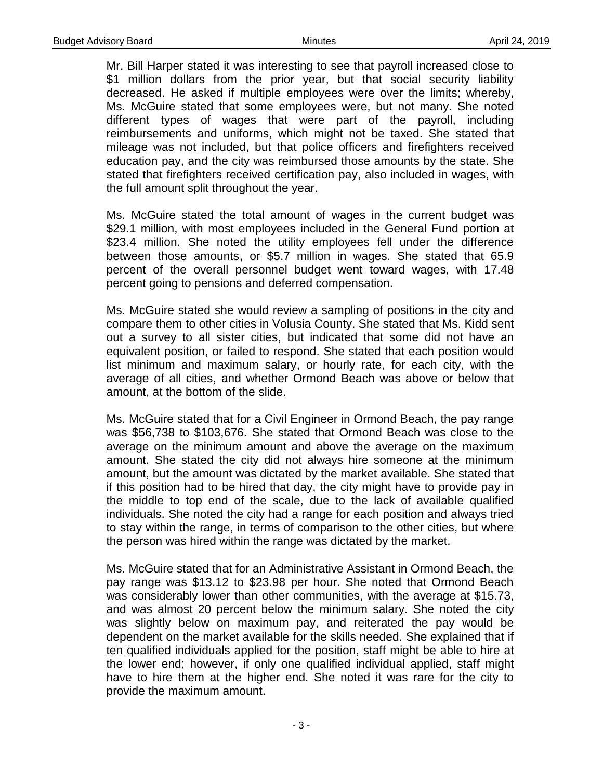Mr. Bill Harper stated it was interesting to see that payroll increased close to \$1 million dollars from the prior year, but that social security liability decreased. He asked if multiple employees were over the limits; whereby, Ms. McGuire stated that some employees were, but not many. She noted different types of wages that were part of the payroll, including reimbursements and uniforms, which might not be taxed. She stated that mileage was not included, but that police officers and firefighters received education pay, and the city was reimbursed those amounts by the state. She stated that firefighters received certification pay, also included in wages, with the full amount split throughout the year.

Ms. McGuire stated the total amount of wages in the current budget was \$29.1 million, with most employees included in the General Fund portion at \$23.4 million. She noted the utility employees fell under the difference between those amounts, or \$5.7 million in wages. She stated that 65.9 percent of the overall personnel budget went toward wages, with 17.48 percent going to pensions and deferred compensation.

Ms. McGuire stated she would review a sampling of positions in the city and compare them to other cities in Volusia County. She stated that Ms. Kidd sent out a survey to all sister cities, but indicated that some did not have an equivalent position, or failed to respond. She stated that each position would list minimum and maximum salary, or hourly rate, for each city, with the average of all cities, and whether Ormond Beach was above or below that amount, at the bottom of the slide.

Ms. McGuire stated that for a Civil Engineer in Ormond Beach, the pay range was \$56,738 to \$103,676. She stated that Ormond Beach was close to the average on the minimum amount and above the average on the maximum amount. She stated the city did not always hire someone at the minimum amount, but the amount was dictated by the market available. She stated that if this position had to be hired that day, the city might have to provide pay in the middle to top end of the scale, due to the lack of available qualified individuals. She noted the city had a range for each position and always tried to stay within the range, in terms of comparison to the other cities, but where the person was hired within the range was dictated by the market.

Ms. McGuire stated that for an Administrative Assistant in Ormond Beach, the pay range was \$13.12 to \$23.98 per hour. She noted that Ormond Beach was considerably lower than other communities, with the average at \$15.73, and was almost 20 percent below the minimum salary. She noted the city was slightly below on maximum pay, and reiterated the pay would be dependent on the market available for the skills needed. She explained that if ten qualified individuals applied for the position, staff might be able to hire at the lower end; however, if only one qualified individual applied, staff might have to hire them at the higher end. She noted it was rare for the city to provide the maximum amount.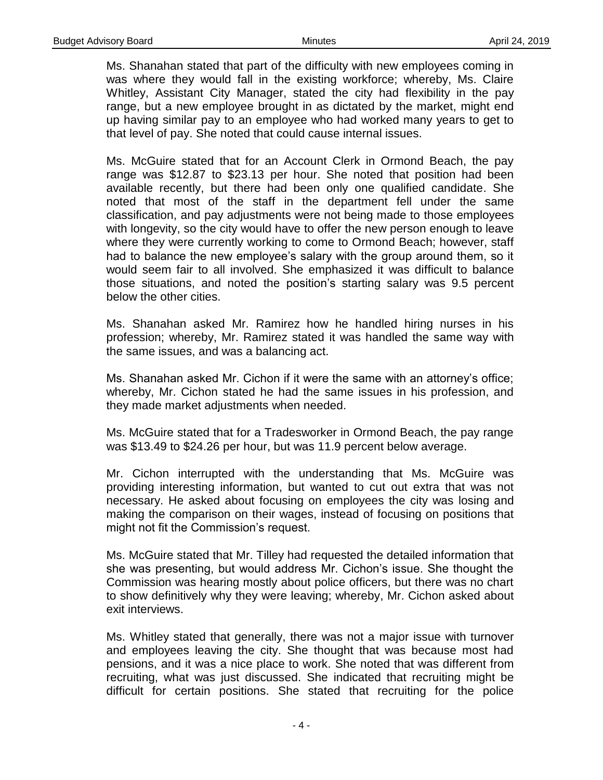Ms. Shanahan stated that part of the difficulty with new employees coming in was where they would fall in the existing workforce; whereby, Ms. Claire Whitley, Assistant City Manager, stated the city had flexibility in the pay range, but a new employee brought in as dictated by the market, might end up having similar pay to an employee who had worked many years to get to that level of pay. She noted that could cause internal issues.

Ms. McGuire stated that for an Account Clerk in Ormond Beach, the pay range was \$12.87 to \$23.13 per hour. She noted that position had been available recently, but there had been only one qualified candidate. She noted that most of the staff in the department fell under the same classification, and pay adjustments were not being made to those employees with longevity, so the city would have to offer the new person enough to leave where they were currently working to come to Ormond Beach; however, staff had to balance the new employee's salary with the group around them, so it would seem fair to all involved. She emphasized it was difficult to balance those situations, and noted the position's starting salary was 9.5 percent below the other cities.

Ms. Shanahan asked Mr. Ramirez how he handled hiring nurses in his profession; whereby, Mr. Ramirez stated it was handled the same way with the same issues, and was a balancing act.

Ms. Shanahan asked Mr. Cichon if it were the same with an attorney's office; whereby, Mr. Cichon stated he had the same issues in his profession, and they made market adjustments when needed.

Ms. McGuire stated that for a Tradesworker in Ormond Beach, the pay range was \$13.49 to \$24.26 per hour, but was 11.9 percent below average.

Mr. Cichon interrupted with the understanding that Ms. McGuire was providing interesting information, but wanted to cut out extra that was not necessary. He asked about focusing on employees the city was losing and making the comparison on their wages, instead of focusing on positions that might not fit the Commission's request.

Ms. McGuire stated that Mr. Tilley had requested the detailed information that she was presenting, but would address Mr. Cichon's issue. She thought the Commission was hearing mostly about police officers, but there was no chart to show definitively why they were leaving; whereby, Mr. Cichon asked about exit interviews.

Ms. Whitley stated that generally, there was not a major issue with turnover and employees leaving the city. She thought that was because most had pensions, and it was a nice place to work. She noted that was different from recruiting, what was just discussed. She indicated that recruiting might be difficult for certain positions. She stated that recruiting for the police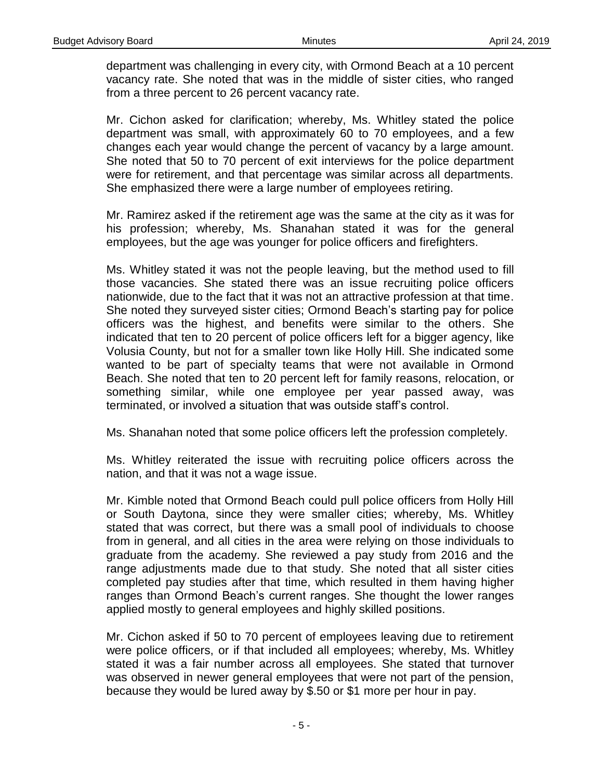department was challenging in every city, with Ormond Beach at a 10 percent vacancy rate. She noted that was in the middle of sister cities, who ranged from a three percent to 26 percent vacancy rate.

Mr. Cichon asked for clarification; whereby, Ms. Whitley stated the police department was small, with approximately 60 to 70 employees, and a few changes each year would change the percent of vacancy by a large amount. She noted that 50 to 70 percent of exit interviews for the police department were for retirement, and that percentage was similar across all departments. She emphasized there were a large number of employees retiring.

Mr. Ramirez asked if the retirement age was the same at the city as it was for his profession; whereby, Ms. Shanahan stated it was for the general employees, but the age was younger for police officers and firefighters.

Ms. Whitley stated it was not the people leaving, but the method used to fill those vacancies. She stated there was an issue recruiting police officers nationwide, due to the fact that it was not an attractive profession at that time. She noted they surveyed sister cities; Ormond Beach's starting pay for police officers was the highest, and benefits were similar to the others. She indicated that ten to 20 percent of police officers left for a bigger agency, like Volusia County, but not for a smaller town like Holly Hill. She indicated some wanted to be part of specialty teams that were not available in Ormond Beach. She noted that ten to 20 percent left for family reasons, relocation, or something similar, while one employee per year passed away, was terminated, or involved a situation that was outside staff's control.

Ms. Shanahan noted that some police officers left the profession completely.

Ms. Whitley reiterated the issue with recruiting police officers across the nation, and that it was not a wage issue.

Mr. Kimble noted that Ormond Beach could pull police officers from Holly Hill or South Daytona, since they were smaller cities; whereby, Ms. Whitley stated that was correct, but there was a small pool of individuals to choose from in general, and all cities in the area were relying on those individuals to graduate from the academy. She reviewed a pay study from 2016 and the range adjustments made due to that study. She noted that all sister cities completed pay studies after that time, which resulted in them having higher ranges than Ormond Beach's current ranges. She thought the lower ranges applied mostly to general employees and highly skilled positions.

Mr. Cichon asked if 50 to 70 percent of employees leaving due to retirement were police officers, or if that included all employees; whereby, Ms. Whitley stated it was a fair number across all employees. She stated that turnover was observed in newer general employees that were not part of the pension, because they would be lured away by \$.50 or \$1 more per hour in pay.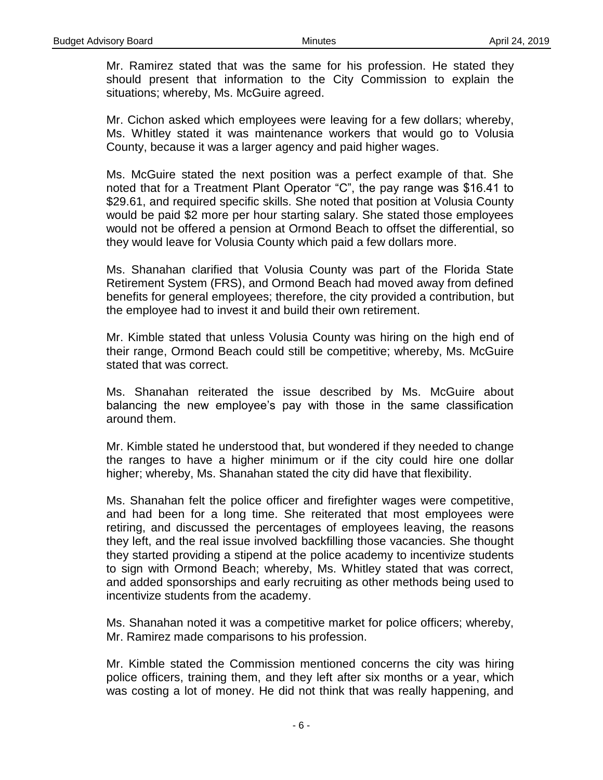Mr. Ramirez stated that was the same for his profession. He stated they should present that information to the City Commission to explain the situations; whereby, Ms. McGuire agreed.

Mr. Cichon asked which employees were leaving for a few dollars; whereby, Ms. Whitley stated it was maintenance workers that would go to Volusia County, because it was a larger agency and paid higher wages.

Ms. McGuire stated the next position was a perfect example of that. She noted that for a Treatment Plant Operator "C", the pay range was \$16.41 to \$29.61, and required specific skills. She noted that position at Volusia County would be paid \$2 more per hour starting salary. She stated those employees would not be offered a pension at Ormond Beach to offset the differential, so they would leave for Volusia County which paid a few dollars more.

Ms. Shanahan clarified that Volusia County was part of the Florida State Retirement System (FRS), and Ormond Beach had moved away from defined benefits for general employees; therefore, the city provided a contribution, but the employee had to invest it and build their own retirement.

Mr. Kimble stated that unless Volusia County was hiring on the high end of their range, Ormond Beach could still be competitive; whereby, Ms. McGuire stated that was correct.

Ms. Shanahan reiterated the issue described by Ms. McGuire about balancing the new employee's pay with those in the same classification around them.

Mr. Kimble stated he understood that, but wondered if they needed to change the ranges to have a higher minimum or if the city could hire one dollar higher; whereby, Ms. Shanahan stated the city did have that flexibility.

Ms. Shanahan felt the police officer and firefighter wages were competitive, and had been for a long time. She reiterated that most employees were retiring, and discussed the percentages of employees leaving, the reasons they left, and the real issue involved backfilling those vacancies. She thought they started providing a stipend at the police academy to incentivize students to sign with Ormond Beach; whereby, Ms. Whitley stated that was correct, and added sponsorships and early recruiting as other methods being used to incentivize students from the academy.

Ms. Shanahan noted it was a competitive market for police officers; whereby, Mr. Ramirez made comparisons to his profession.

Mr. Kimble stated the Commission mentioned concerns the city was hiring police officers, training them, and they left after six months or a year, which was costing a lot of money. He did not think that was really happening, and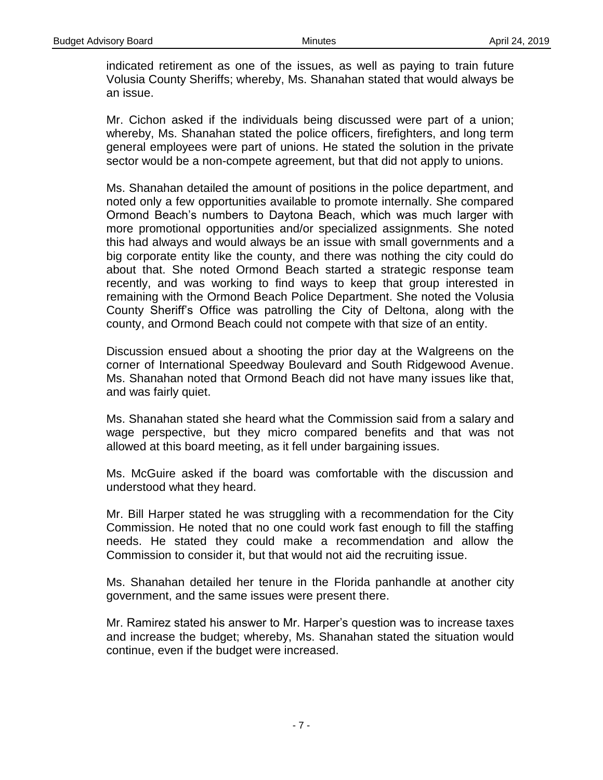indicated retirement as one of the issues, as well as paying to train future Volusia County Sheriffs; whereby, Ms. Shanahan stated that would always be an issue.

Mr. Cichon asked if the individuals being discussed were part of a union; whereby, Ms. Shanahan stated the police officers, firefighters, and long term general employees were part of unions. He stated the solution in the private sector would be a non-compete agreement, but that did not apply to unions.

Ms. Shanahan detailed the amount of positions in the police department, and noted only a few opportunities available to promote internally. She compared Ormond Beach's numbers to Daytona Beach, which was much larger with more promotional opportunities and/or specialized assignments. She noted this had always and would always be an issue with small governments and a big corporate entity like the county, and there was nothing the city could do about that. She noted Ormond Beach started a strategic response team recently, and was working to find ways to keep that group interested in remaining with the Ormond Beach Police Department. She noted the Volusia County Sheriff's Office was patrolling the City of Deltona, along with the county, and Ormond Beach could not compete with that size of an entity.

Discussion ensued about a shooting the prior day at the Walgreens on the corner of International Speedway Boulevard and South Ridgewood Avenue. Ms. Shanahan noted that Ormond Beach did not have many issues like that, and was fairly quiet.

Ms. Shanahan stated she heard what the Commission said from a salary and wage perspective, but they micro compared benefits and that was not allowed at this board meeting, as it fell under bargaining issues.

Ms. McGuire asked if the board was comfortable with the discussion and understood what they heard.

Mr. Bill Harper stated he was struggling with a recommendation for the City Commission. He noted that no one could work fast enough to fill the staffing needs. He stated they could make a recommendation and allow the Commission to consider it, but that would not aid the recruiting issue.

Ms. Shanahan detailed her tenure in the Florida panhandle at another city government, and the same issues were present there.

Mr. Ramirez stated his answer to Mr. Harper's question was to increase taxes and increase the budget; whereby, Ms. Shanahan stated the situation would continue, even if the budget were increased.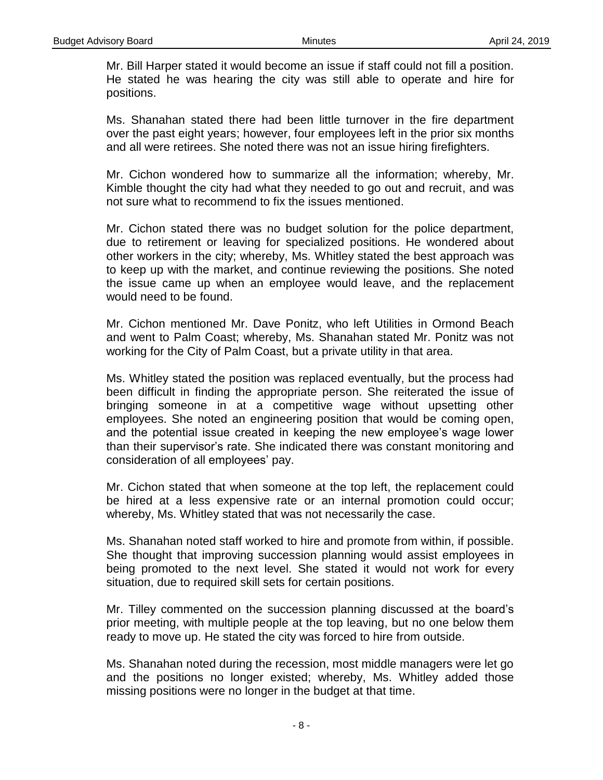Mr. Bill Harper stated it would become an issue if staff could not fill a position. He stated he was hearing the city was still able to operate and hire for positions.

Ms. Shanahan stated there had been little turnover in the fire department over the past eight years; however, four employees left in the prior six months and all were retirees. She noted there was not an issue hiring firefighters.

Mr. Cichon wondered how to summarize all the information; whereby, Mr. Kimble thought the city had what they needed to go out and recruit, and was not sure what to recommend to fix the issues mentioned.

Mr. Cichon stated there was no budget solution for the police department, due to retirement or leaving for specialized positions. He wondered about other workers in the city; whereby, Ms. Whitley stated the best approach was to keep up with the market, and continue reviewing the positions. She noted the issue came up when an employee would leave, and the replacement would need to be found.

Mr. Cichon mentioned Mr. Dave Ponitz, who left Utilities in Ormond Beach and went to Palm Coast; whereby, Ms. Shanahan stated Mr. Ponitz was not working for the City of Palm Coast, but a private utility in that area.

Ms. Whitley stated the position was replaced eventually, but the process had been difficult in finding the appropriate person. She reiterated the issue of bringing someone in at a competitive wage without upsetting other employees. She noted an engineering position that would be coming open, and the potential issue created in keeping the new employee's wage lower than their supervisor's rate. She indicated there was constant monitoring and consideration of all employees' pay.

Mr. Cichon stated that when someone at the top left, the replacement could be hired at a less expensive rate or an internal promotion could occur; whereby, Ms. Whitley stated that was not necessarily the case.

Ms. Shanahan noted staff worked to hire and promote from within, if possible. She thought that improving succession planning would assist employees in being promoted to the next level. She stated it would not work for every situation, due to required skill sets for certain positions.

Mr. Tilley commented on the succession planning discussed at the board's prior meeting, with multiple people at the top leaving, but no one below them ready to move up. He stated the city was forced to hire from outside.

Ms. Shanahan noted during the recession, most middle managers were let go and the positions no longer existed; whereby, Ms. Whitley added those missing positions were no longer in the budget at that time.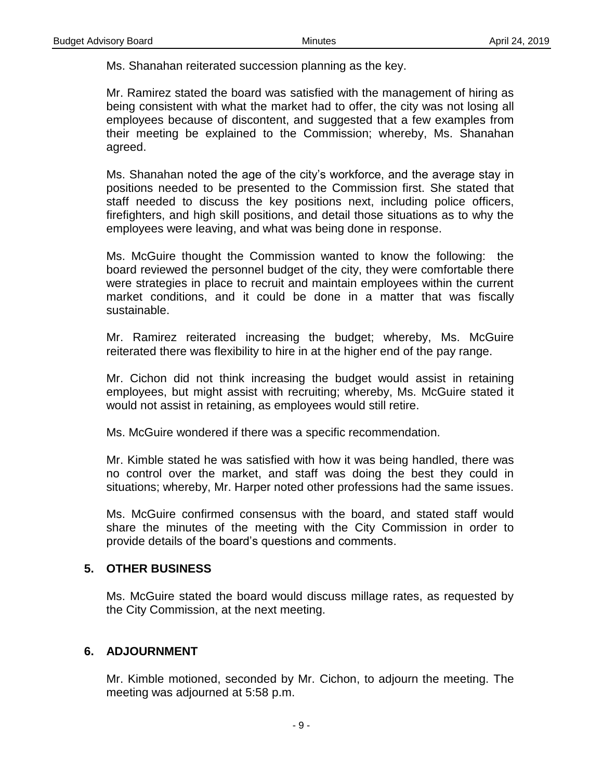Ms. Shanahan reiterated succession planning as the key.

Mr. Ramirez stated the board was satisfied with the management of hiring as being consistent with what the market had to offer, the city was not losing all employees because of discontent, and suggested that a few examples from their meeting be explained to the Commission; whereby, Ms. Shanahan agreed.

Ms. Shanahan noted the age of the city's workforce, and the average stay in positions needed to be presented to the Commission first. She stated that staff needed to discuss the key positions next, including police officers, firefighters, and high skill positions, and detail those situations as to why the employees were leaving, and what was being done in response.

Ms. McGuire thought the Commission wanted to know the following: the board reviewed the personnel budget of the city, they were comfortable there were strategies in place to recruit and maintain employees within the current market conditions, and it could be done in a matter that was fiscally sustainable.

Mr. Ramirez reiterated increasing the budget; whereby, Ms. McGuire reiterated there was flexibility to hire in at the higher end of the pay range.

Mr. Cichon did not think increasing the budget would assist in retaining employees, but might assist with recruiting; whereby, Ms. McGuire stated it would not assist in retaining, as employees would still retire.

Ms. McGuire wondered if there was a specific recommendation.

Mr. Kimble stated he was satisfied with how it was being handled, there was no control over the market, and staff was doing the best they could in situations; whereby, Mr. Harper noted other professions had the same issues.

Ms. McGuire confirmed consensus with the board, and stated staff would share the minutes of the meeting with the City Commission in order to provide details of the board's questions and comments.

### **5. OTHER BUSINESS**

Ms. McGuire stated the board would discuss millage rates, as requested by the City Commission, at the next meeting.

### **6. ADJOURNMENT**

Mr. Kimble motioned, seconded by Mr. Cichon, to adjourn the meeting. The meeting was adjourned at 5:58 p.m.